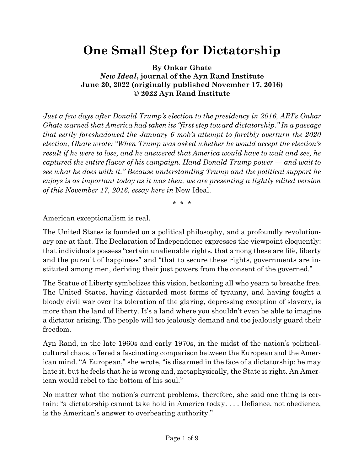## **One Small Step for Dictatorship**

**By Onkar Ghate** *New Ideal***, journal of the Ayn Rand Institute June 20, 2022 (originally published November 17, 2016) © 2022 Ayn Rand Institute**

*Just a few days after Donald Trump's election to the presidency in 2016, ARI's Onkar Ghate warned that America had taken its "first step toward dictatorship." In a passage that eerily foreshadowed the January 6 mob's attempt to forcibly overturn the 2020 election, Ghate wrote: "When Trump was asked whether he would accept the election's result if he were to lose, and he answered that America would have to wait and see, he captured the entire flavor of his campaign. Hand Donald Trump power — and wait to see what he does with it." Because understanding Trump and the political support he enjoys is as important today as it was then, we are presenting a lightly edited version of this November 17, 2016, essay here in* New Ideal.

\* \* \*

American exceptionalism is real.

The United States is founded on a political philosophy, and a profoundly revolutionary one at that. The Declaration of Independence expresses the viewpoint eloquently: that individuals possess "certain unalienable rights, that among these are life, liberty and the pursuit of happiness" and "that to secure these rights, governments are instituted among men, deriving their just powers from the consent of the governed."

The Statue of Liberty symbolizes this vision, beckoning all who yearn to breathe free. The United States, having discarded most forms of tyranny, and having fought a bloody civil war over its toleration of the glaring, depressing exception of slavery, is more than the land of liberty. It's a land where you shouldn't even be able to imagine a dictator arising. The people will too jealously demand and too jealously guard their freedom.

Ayn Rand, in the late 1960s and early 1970s, in the midst of the nation's politicalcultural chaos, offered a fascinating comparison between the European and the American mind. "A European," she wrote, "is disarmed in the face of a dictatorship: he may hate it, but he feels that he is wrong and, metaphysically, the State is right. An American would rebel to the bottom of his soul."

No matter what the nation's current problems, therefore, she said one thing is certain: "a dictatorship cannot take hold in America today. . . . Defiance, not obedience, is the American's answer to overbearing authority."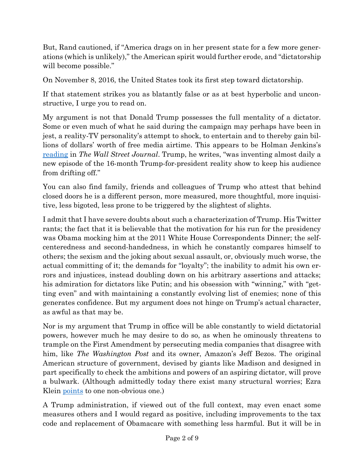But, Rand cautioned, if "America drags on in her present state for a few more generations (which is unlikely)," the American spirit would further erode, and "dictatorship will become possible."

On November 8, 2016, the United States took its first step toward dictatorship.

If that statement strikes you as blatantly false or as at best hyperbolic and unconstructive, I urge you to read on.

My argument is not that Donald Trump possesses the full mentality of a dictator. Some or even much of what he said during the campaign may perhaps have been in jest, a reality-TV personality's attempt to shock, to entertain and to thereby gain billions of dollars' worth of free media airtime. This appears to be Holman Jenkins's [reading](http://www.wsj.com/articles/how-donald-trump-pulled-it-off-1478680736) in *The Wall Street Journal*. Trump, he writes, "was inventing almost daily a new episode of the 16-month Trump-for-president reality show to keep his audience from drifting off."

You can also find family, friends and colleagues of Trump who attest that behind closed doors he is a different person, more measured, more thoughtful, more inquisitive, less bigoted, less prone to be triggered by the slightest of slights.

I admit that I have severe doubts about such a characterization of Trump. His Twitter rants; the fact that it is believable that the motivation for his run for the presidency was Obama mocking him at the 2011 White House Correspondents Dinner; the selfcenteredness and second-handedness, in which he constantly compares himself to others; the sexism and the joking about sexual assault, or, obviously much worse, the actual committing of it; the demands for "loyalty"; the inability to admit his own errors and injustices, instead doubling down on his arbitrary assertions and attacks; his admiration for dictators like Putin; and his obsession with "winning," with "getting even" and with maintaining a constantly evolving list of enemies; none of this generates confidence. But my argument does not hinge on Trump's actual character, as awful as that may be.

Nor is my argument that Trump in office will be able constantly to wield dictatorial powers, however much he may desire to do so, as when he ominously threatens to trample on the First Amendment by persecuting media companies that disagree with him, like *The Washington Post* and its owner, Amazon's Jeff Bezos. The original American structure of government, devised by giants like Madison and designed in part specifically to check the ambitions and powers of an aspiring dictator, will prove a bulwark. (Although admittedly today there exist many structural worries; Ezra Klein <u>[points](http://www.vox.com/policy-and-politics/2016/11/7/13532178/donald-trump-american-democracy-weakness)</u> to one non-obvious one.)

A Trump administration, if viewed out of the full context, may even enact some measures others and I would regard as positive, including improvements to the tax code and replacement of Obamacare with something less harmful. But it will be in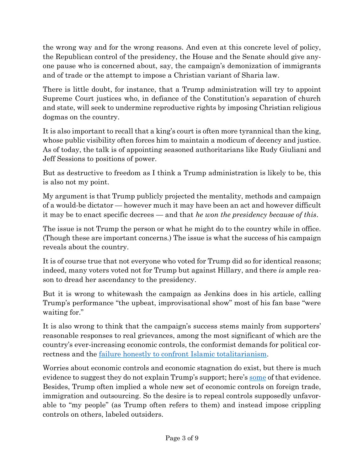the wrong way and for the wrong reasons. And even at this concrete level of policy, the Republican control of the presidency, the House and the Senate should give anyone pause who is concerned about, say, the campaign's demonization of immigrants and of trade or the attempt to impose a Christian variant of Sharia law.

There is little doubt, for instance, that a Trump administration will try to appoint Supreme Court justices who, in defiance of the Constitution's separation of church and state, will seek to undermine reproductive rights by imposing Christian religious dogmas on the country.

It is also important to recall that a king's court is often more tyrannical than the king, whose public visibility often forces him to maintain a modicum of decency and justice. As of today, the talk is of appointing seasoned authoritarians like Rudy Giuliani and Jeff Sessions to positions of power.

But as destructive to freedom as I think a Trump administration is likely to be, this is also not my point.

My argument is that Trump publicly projected the mentality, methods and campaign of a would-be dictator — however much it may have been an act and however difficult it may be to enact specific decrees — and that *he won the presidency because of this*.

The issue is not Trump the person or what he might do to the country while in office. (Though these are important concerns.) The issue is what the success of his campaign reveals about the country.

It is of course true that not everyone who voted for Trump did so for identical reasons; indeed, many voters voted not for Trump but against Hillary, and there *is* ample reason to dread her ascendancy to the presidency.

But it is wrong to whitewash the campaign as Jenkins does in his article, calling Trump's performance "the upbeat, improvisational show" most of his fan base "were waiting for."

It is also wrong to think that the campaign's success stems mainly from supporters' reasonable responses to real grievances, among the most significant of which are the country's ever-increasing economic controls, the conformist demands for political correctness and the [failure honestly to confront](https://campus.aynrand.org/works/2016/09/01/failing-to-confront-islamic-totalitarianism) Islamic totalitarianism.

Worries about economic controls and economic stagnation do exist, but there is much evidence to suggest they do not explain Trump's support; here's [some](http://www.vox.com/policy-and-politics/2016/11/7/13532178/donald-trump-american-democracy-weakness) of that evidence. Besides, Trump often implied a whole new set of economic controls on foreign trade, immigration and outsourcing. So the desire is to repeal controls supposedly unfavorable to "my people" (as Trump often refers to them) and instead impose crippling controls on others, labeled outsiders.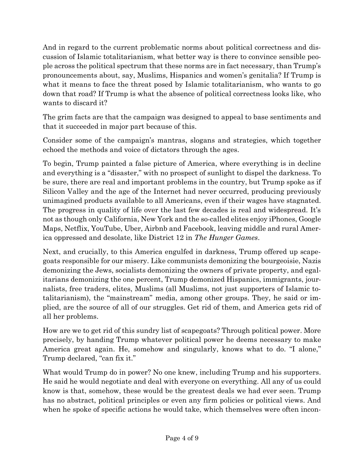And in regard to the current problematic norms about political correctness and discussion of Islamic totalitarianism, what better way is there to convince sensible people across the political spectrum that these norms are in fact necessary, than Trump's pronouncements about, say, Muslims, Hispanics and women's genitalia? If Trump is what it means to face the threat posed by Islamic totalitarianism, who wants to go down that road? If Trump is what the absence of political correctness looks like, who wants to discard it?

The grim facts are that the campaign was designed to appeal to base sentiments and that it succeeded in major part because of this.

Consider some of the campaign's mantras, slogans and strategies, which together echoed the methods and voice of dictators through the ages.

To begin, Trump painted a false picture of America, where everything is in decline and everything is a "disaster," with no prospect of sunlight to dispel the darkness. To be sure, there are real and important problems in the country, but Trump spoke as if Silicon Valley and the age of the Internet had never occurred, producing previously unimagined products available to all Americans, even if their wages have stagnated. The progress in quality of life over the last few decades is real and widespread. It's not as though only California, New York and the so-called elites enjoy iPhones, Google Maps, Netflix, YouTube, Uber, Airbnb and Facebook, leaving middle and rural America oppressed and desolate, like District 12 in *The Hunger Games*.

Next, and crucially, to this America engulfed in darkness, Trump offered up scapegoats responsible for our misery. Like communists demonizing the bourgeoisie, Nazis demonizing the Jews, socialists demonizing the owners of private property, and egalitarians demonizing the one percent, Trump demonized Hispanics, immigrants, journalists, free traders, elites, Muslims (all Muslims, not just supporters of Islamic totalitarianism), the "mainstream" media, among other groups. They, he said or implied, are the source of all of our struggles. Get rid of them, and America gets rid of all her problems.

How are we to get rid of this sundry list of scapegoats? Through political power. More precisely, by handing Trump whatever political power he deems necessary to make America great again. He, somehow and singularly, knows what to do. "I alone," Trump declared, "can fix it."

What would Trump do in power? No one knew, including Trump and his supporters. He said he would negotiate and deal with everyone on everything. All any of us could know is that, somehow, these would be the greatest deals we had ever seen. Trump has no abstract, political principles or even any firm policies or political views. And when he spoke of specific actions he would take, which themselves were often incon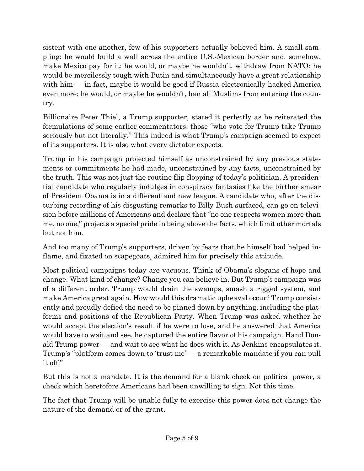sistent with one another, few of his supporters actually believed him. A small sampling: he would build a wall across the entire U.S.-Mexican border and, somehow, make Mexico pay for it; he would, or maybe he wouldn't, withdraw from NATO; he would be mercilessly tough with Putin and simultaneously have a great relationship with him — in fact, maybe it would be good if Russia electronically hacked America even more; he would, or maybe he wouldn't, ban all Muslims from entering the country.

Billionaire Peter Thiel, a Trump supporter, stated it perfectly as he reiterated the formulations of some earlier commentators: those "who vote for Trump take Trump seriously but not literally." This indeed is what Trump's campaign seemed to expect of its supporters. It is also what every dictator expects.

Trump in his campaign projected himself as unconstrained by any previous statements or commitments he had made, unconstrained by any facts, unconstrained by the truth. This was not just the routine flip-flopping of today's politician. A presidential candidate who regularly indulges in conspiracy fantasies like the birther smear of President Obama is in a different and new league. A candidate who, after the disturbing recording of his disgusting remarks to Billy Bush surfaced, can go on television before millions of Americans and declare that "no one respects women more than me, no one," projects a special pride in being above the facts, which limit other mortals but not him.

And too many of Trump's supporters, driven by fears that he himself had helped inflame, and fixated on scapegoats, admired him for precisely this attitude.

Most political campaigns today are vacuous. Think of Obama's slogans of hope and change. What kind of change? Change you can believe in. But Trump's campaign was of a different order. Trump would drain the swamps, smash a rigged system, and make America great again. How would this dramatic upheaval occur? Trump consistently and proudly defied the need to be pinned down by anything, including the platforms and positions of the Republican Party. When Trump was asked whether he would accept the election's result if he were to lose, and he answered that America would have to wait and see, he captured the entire flavor of his campaign. Hand Donald Trump power — and wait to see what he does with it. As Jenkins encapsulates it, Trump's "platform comes down to 'trust me' — a remarkable mandate if you can pull it off."

But this is not a mandate. It is the demand for a blank check on political power, a check which heretofore Americans had been unwilling to sign. Not this time.

The fact that Trump will be unable fully to exercise this power does not change the nature of the demand or of the grant.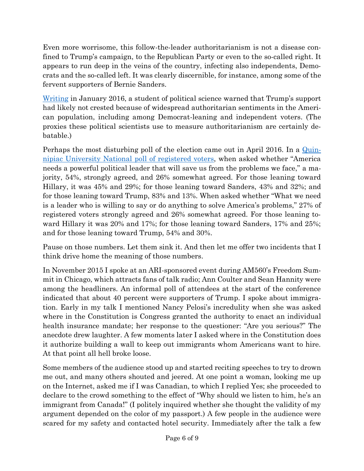Even more worrisome, this follow-the-leader authoritarianism is not a disease confined to Trump's campaign, to the Republican Party or even to the so-called right. It appears to run deep in the veins of the country, infecting also independents, Democrats and the so-called left. It was clearly discernible, for instance, among some of the fervent supporters of Bernie Sanders.

[Writing](http://www.politico.com/magazine/story/2016/01/donald-trump-2016-authoritarian-213533) in January 2016, a student of political science warned that Trump's support had likely not crested because of widespread authoritarian sentiments in the American population, including among Democrat-leaning and independent voters. (The proxies these political scientists use to measure authoritarianism are certainly debatable.)

Perhaps the most disturbing poll of the election came out in April 2016. In a [Quin](https://poll.qu.edu/Poll-Release-Legacy?releaseid=2340)nipiac [University National poll of registered voters,](https://poll.qu.edu/Poll-Release-Legacy?releaseid=2340) when asked whether "America needs a powerful political leader that will save us from the problems we face," a majority, 54%, strongly agreed, and 26% somewhat agreed. For those leaning toward Hillary, it was 45% and 29%; for those leaning toward Sanders, 43% and 32%; and for those leaning toward Trump, 83% and 13%. When asked whether "What we need is a leader who is willing to say or do anything to solve America's problems," 27% of registered voters strongly agreed and 26% somewhat agreed. For those leaning toward Hillary it was 20% and 17%; for those leaning toward Sanders, 17% and 25%; and for those leaning toward Trump, 54% and 30%.

Pause on those numbers. Let them sink it. And then let me offer two incidents that I think drive home the meaning of those numbers.

In November 2015 I spoke at an ARI-sponsored event during AM560's Freedom Summit in Chicago, which attracts fans of talk radio; Ann Coulter and Sean Hannity were among the headliners. An informal poll of attendees at the start of the conference indicated that about 40 percent were supporters of Trump. I spoke about immigration. Early in my talk I mentioned Nancy Pelosi's incredulity when she was asked where in the Constitution is Congress granted the authority to enact an individual health insurance mandate; her response to the questioner: "Are you serious?" The anecdote drew laughter. A few moments later I asked where in the Constitution does it authorize building a wall to keep out immigrants whom Americans want to hire. At that point all hell broke loose.

Some members of the audience stood up and started reciting speeches to try to drown me out, and many others shouted and jeered. At one point a woman, looking me up on the Internet, asked me if I was Canadian, to which I replied Yes; she proceeded to declare to the crowd something to the effect of "Why should we listen to him, he's an immigrant from Canada!" (I politely inquired whether she thought the validity of my argument depended on the color of my passport.) A few people in the audience were scared for my safety and contacted hotel security. Immediately after the talk a few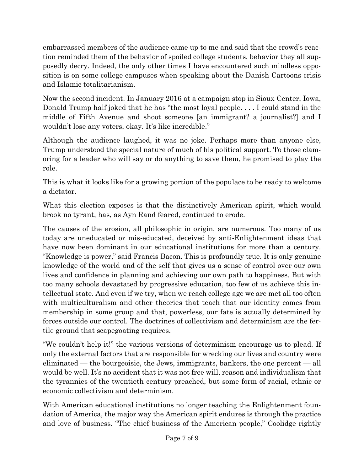embarrassed members of the audience came up to me and said that the crowd's reaction reminded them of the behavior of spoiled college students, behavior they all supposedly decry. Indeed, the only other times I have encountered such mindless opposition is on some college campuses when speaking about the Danish Cartoons crisis and Islamic totalitarianism.

Now the second incident. In January 2016 at a campaign stop in Sioux Center, Iowa, Donald Trump half joked that he has "the most loyal people. . . . I could stand in the middle of Fifth Avenue and shoot someone [an immigrant? a journalist?] and I wouldn't lose any voters, okay. It's like incredible."

Although the audience laughed, it was no joke. Perhaps more than anyone else, Trump understood the special nature of much of his political support. To those clamoring for a leader who will say or do anything to save them, he promised to play the role.

This is what it looks like for a growing portion of the populace to be ready to welcome a dictator.

What this election exposes is that the distinctively American spirit, which would brook no tyrant, has, as Ayn Rand feared, continued to erode.

The causes of the erosion, all philosophic in origin, are numerous. Too many of us today are uneducated or mis-educated, deceived by anti-Enlightenment ideas that have now been dominant in our educational institutions for more than a century. "Knowledge is power," said Francis Bacon. This is profoundly true. It is only genuine knowledge of the world and of the self that gives us a sense of control over our own lives and confidence in planning and achieving our own path to happiness. But with too many schools devastated by progressive education, too few of us achieve this intellectual state. And even if we try, when we reach college age we are met all too often with multiculturalism and other theories that teach that our identity comes from membership in some group and that, powerless, our fate is actually determined by forces outside our control. The doctrines of collectivism and determinism are the fertile ground that scapegoating requires.

"We couldn't help it!" the various versions of determinism encourage us to plead. If only the external factors that are responsible for wrecking our lives and country were eliminated — the bourgeoisie, the Jews, immigrants, bankers, the one percent — all would be well. It's no accident that it was not free will, reason and individualism that the tyrannies of the twentieth century preached, but some form of racial, ethnic or economic collectivism and determinism.

With American educational institutions no longer teaching the Enlightenment foundation of America, the major way the American spirit endures is through the practice and love of business. "The chief business of the American people," Coolidge rightly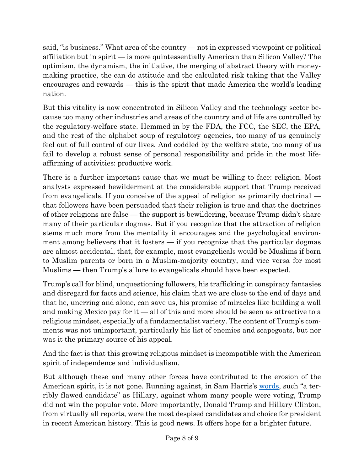said, "is business." What area of the country — not in expressed viewpoint or political affiliation but in spirit — is more quintessentially American than Silicon Valley? The optimism, the dynamism, the initiative, the merging of abstract theory with moneymaking practice, the can-do attitude and the calculated risk-taking that the Valley encourages and rewards — this is the spirit that made America the world's leading nation.

But this vitality is now concentrated in Silicon Valley and the technology sector because too many other industries and areas of the country and of life are controlled by the regulatory-welfare state. Hemmed in by the FDA, the FCC, the SEC, the EPA, and the rest of the alphabet soup of regulatory agencies, too many of us genuinely feel out of full control of our lives. And coddled by the welfare state, too many of us fail to develop a robust sense of personal responsibility and pride in the most lifeaffirming of activities: productive work.

There is a further important cause that we must be willing to face: religion. Most analysts expressed bewilderment at the considerable support that Trump received from evangelicals. If you conceive of the appeal of religion as primarily doctrinal that followers have been persuaded that their religion is true and that the doctrines of other religions are false — the support is bewildering, because Trump didn't share many of their particular dogmas. But if you recognize that the attraction of religion stems much more from the mentality it encourages and the psychological environment among believers that it fosters  $-$  if you recognize that the particular dogmas are almost accidental, that, for example, most evangelicals would be Muslims if born to Muslim parents or born in a Muslim-majority country, and vice versa for most Muslims — then Trump's allure to evangelicals should have been expected.

Trump's call for blind, unquestioning followers, his trafficking in conspiracy fantasies and disregard for facts and science, his claim that we are close to the end of days and that he, unerring and alone, can save us, his promise of miracles like building a wall and making Mexico pay for it — all of this and more should be seen as attractive to a religious mindset, especially of a fundamentalist variety. The content of Trump's comments was not unimportant, particularly his list of enemies and scapegoats, but nor was it the primary source of his appeal.

And the fact is that this growing religious mindset is incompatible with the American spirit of independence and individualism.

But although these and many other forces have contributed to the erosion of the American spirit, it is not gone. Running against, in Sam Harris's [words](https://www.samharris.org/blog/trump-in-exile2), such "a terribly flawed candidate" as Hillary, against whom many people were voting, Trump did not win the popular vote. More importantly, Donald Trump and Hillary Clinton, from virtually all reports, were the most despised candidates and choice for president in recent American history. This is good news. It offers hope for a brighter future.